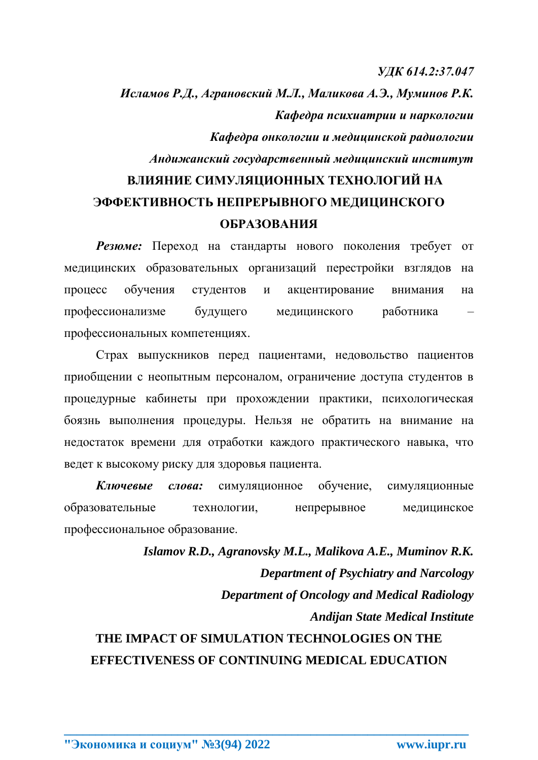*УДК 614.2:37.047* 

*Исламов Р.Д., Аграновский М.Л., Маликова А.Э., Муминов Р.К. Кафедра психиатрии и наркологии Кафедра онкологии и медицинской радиологии Андижанский государственный медицинский институт* **ВЛИЯНИЕ СИМУЛЯЦИОННЫХ ТЕХНОЛОГИЙ НА ЭФФЕКТИВНОСТЬ НЕПРЕРЫВНОГО МЕДИЦИНСКОГО** 

## **ОБРАЗОВАНИЯ**

*Резюме:* Переход на стандарты нового поколения требует от медицинских образовательных организаций перестройки взглядов на процесс обучения студентов и акцентирование внимания на профессионализме будущего медицинского работника – профессиональных компетенциях.

Страх выпускников перед пациентами, недовольство пациентов приобщении с неопытным персоналом, ограничение доступа студентов в процедурные кабинеты при прохождении практики, психологическая боязнь выполнения процедуры. Нельзя не обратить на внимание на недостаток времени для отработки каждого практического навыка, что ведет к высокому риску для здоровья пациента.

*Ключевые слова:* симуляционное обучение, симуляционные образовательные технологии, непрерывное медицинское профессиональное образование.

*Islamov R.D., Agranovsky M.L., Malikova A.E., Muminov R.K. Department of Psychiatry and Narcology Department of Oncology and Medical Radiology Andijan State Medical Institute* **THE IMPACT OF SIMULATION TECHNOLOGIES ON THE**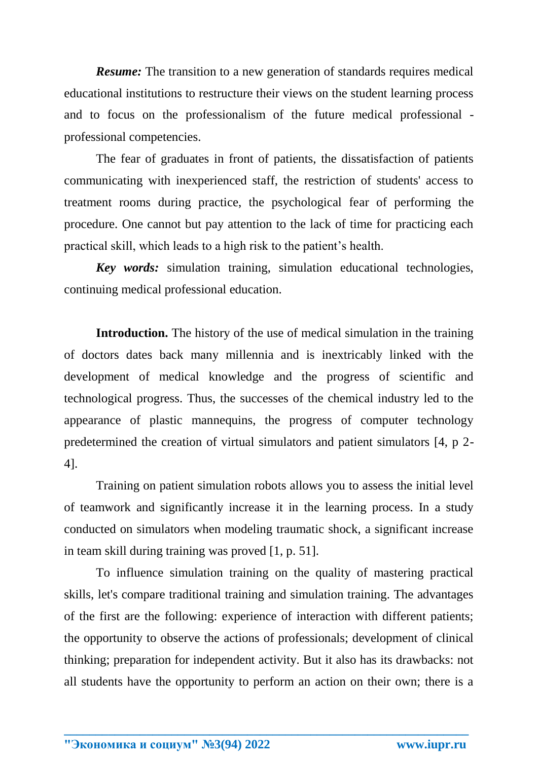*Resume:* The transition to a new generation of standards requires medical educational institutions to restructure their views on the student learning process and to focus on the professionalism of the future medical professional professional competencies.

The fear of graduates in front of patients, the dissatisfaction of patients communicating with inexperienced staff, the restriction of students' access to treatment rooms during practice, the psychological fear of performing the procedure. One cannot but pay attention to the lack of time for practicing each practical skill, which leads to a high risk to the patient's health.

*Key words:* simulation training, simulation educational technologies, continuing medical professional education.

**Introduction.** The history of the use of medical simulation in the training of doctors dates back many millennia and is inextricably linked with the development of medical knowledge and the progress of scientific and technological progress. Thus, the successes of the chemical industry led to the appearance of plastic mannequins, the progress of computer technology predetermined the creation of virtual simulators and patient simulators [4, p 2- 4].

Training on patient simulation robots allows you to assess the initial level of teamwork and significantly increase it in the learning process. In a study conducted on simulators when modeling traumatic shock, a significant increase in team skill during training was proved [1, p. 51].

To influence simulation training on the quality of mastering practical skills, let's compare traditional training and simulation training. The advantages of the first are the following: experience of interaction with different patients; the opportunity to observe the actions of professionals; development of clinical thinking; preparation for independent activity. But it also has its drawbacks: not all students have the opportunity to perform an action on their own; there is a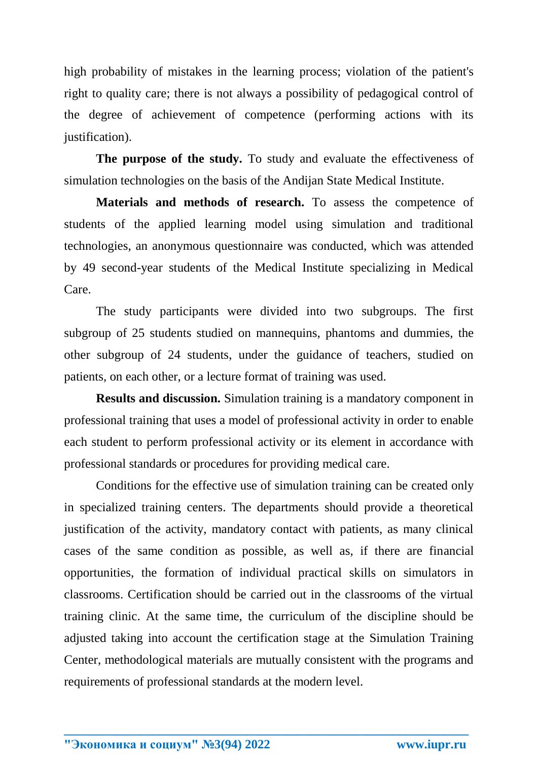high probability of mistakes in the learning process; violation of the patient's right to quality care; there is not always a possibility of pedagogical control of the degree of achievement of competence (performing actions with its justification).

**The purpose of the study.** To study and evaluate the effectiveness of simulation technologies on the basis of the Andijan State Medical Institute.

**Materials and methods of research.** To assess the competence of students of the applied learning model using simulation and traditional technologies, an anonymous questionnaire was conducted, which was attended by 49 second-year students of the Medical Institute specializing in Medical Care.

The study participants were divided into two subgroups. The first subgroup of 25 students studied on mannequins, phantoms and dummies, the other subgroup of 24 students, under the guidance of teachers, studied on patients, on each other, or a lecture format of training was used.

**Results and discussion.** Simulation training is a mandatory component in professional training that uses a model of professional activity in order to enable each student to perform professional activity or its element in accordance with professional standards or procedures for providing medical care.

Conditions for the effective use of simulation training can be created only in specialized training centers. The departments should provide a theoretical justification of the activity, mandatory contact with patients, as many clinical cases of the same condition as possible, as well as, if there are financial opportunities, the formation of individual practical skills on simulators in classrooms. Certification should be carried out in the classrooms of the virtual training clinic. At the same time, the curriculum of the discipline should be adjusted taking into account the certification stage at the Simulation Training Center, methodological materials are mutually consistent with the programs and requirements of professional standards at the modern level.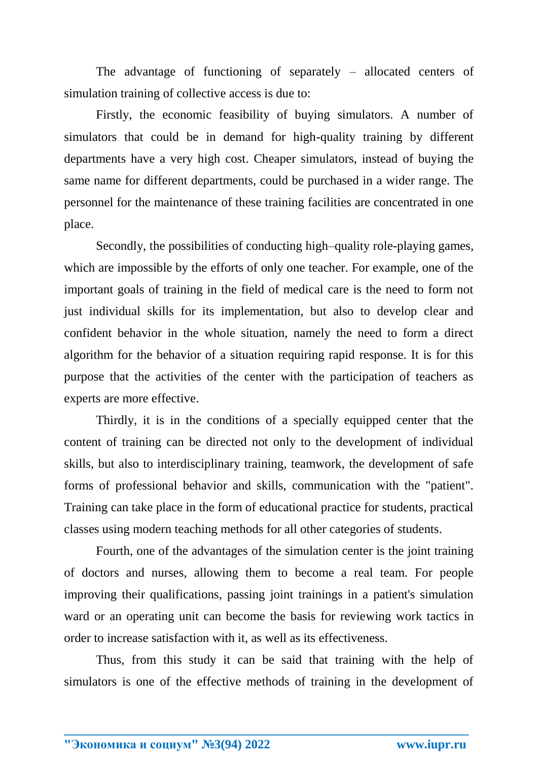The advantage of functioning of separately – allocated centers of simulation training of collective access is due to:

Firstly, the economic feasibility of buying simulators. A number of simulators that could be in demand for high-quality training by different departments have a very high cost. Cheaper simulators, instead of buying the same name for different departments, could be purchased in a wider range. The personnel for the maintenance of these training facilities are concentrated in one place.

Secondly, the possibilities of conducting high–quality role-playing games, which are impossible by the efforts of only one teacher. For example, one of the important goals of training in the field of medical care is the need to form not just individual skills for its implementation, but also to develop clear and confident behavior in the whole situation, namely the need to form a direct algorithm for the behavior of a situation requiring rapid response. It is for this purpose that the activities of the center with the participation of teachers as experts are more effective.

Thirdly, it is in the conditions of a specially equipped center that the content of training can be directed not only to the development of individual skills, but also to interdisciplinary training, teamwork, the development of safe forms of professional behavior and skills, communication with the "patient". Training can take place in the form of educational practice for students, practical classes using modern teaching methods for all other categories of students.

Fourth, one of the advantages of the simulation center is the joint training of doctors and nurses, allowing them to become a real team. For people improving their qualifications, passing joint trainings in a patient's simulation ward or an operating unit can become the basis for reviewing work tactics in order to increase satisfaction with it, as well as its effectiveness.

Thus, from this study it can be said that training with the help of simulators is one of the effective methods of training in the development of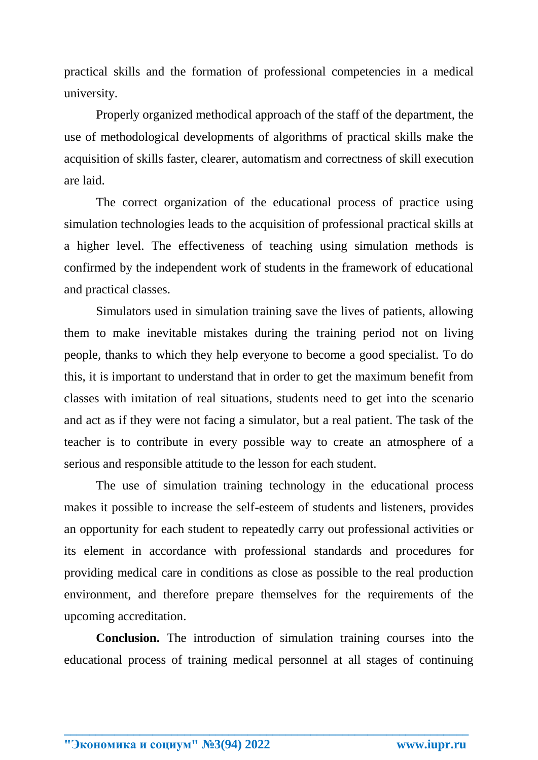practical skills and the formation of professional competencies in a medical university.

Properly organized methodical approach of the staff of the department, the use of methodological developments of algorithms of practical skills make the acquisition of skills faster, clearer, automatism and correctness of skill execution are laid.

The correct organization of the educational process of practice using simulation technologies leads to the acquisition of professional practical skills at a higher level. The effectiveness of teaching using simulation methods is confirmed by the independent work of students in the framework of educational and practical classes.

Simulators used in simulation training save the lives of patients, allowing them to make inevitable mistakes during the training period not on living people, thanks to which they help everyone to become a good specialist. To do this, it is important to understand that in order to get the maximum benefit from classes with imitation of real situations, students need to get into the scenario and act as if they were not facing a simulator, but a real patient. The task of the teacher is to contribute in every possible way to create an atmosphere of a serious and responsible attitude to the lesson for each student.

The use of simulation training technology in the educational process makes it possible to increase the self-esteem of students and listeners, provides an opportunity for each student to repeatedly carry out professional activities or its element in accordance with professional standards and procedures for providing medical care in conditions as close as possible to the real production environment, and therefore prepare themselves for the requirements of the upcoming accreditation.

**Conclusion.** The introduction of simulation training courses into the educational process of training medical personnel at all stages of continuing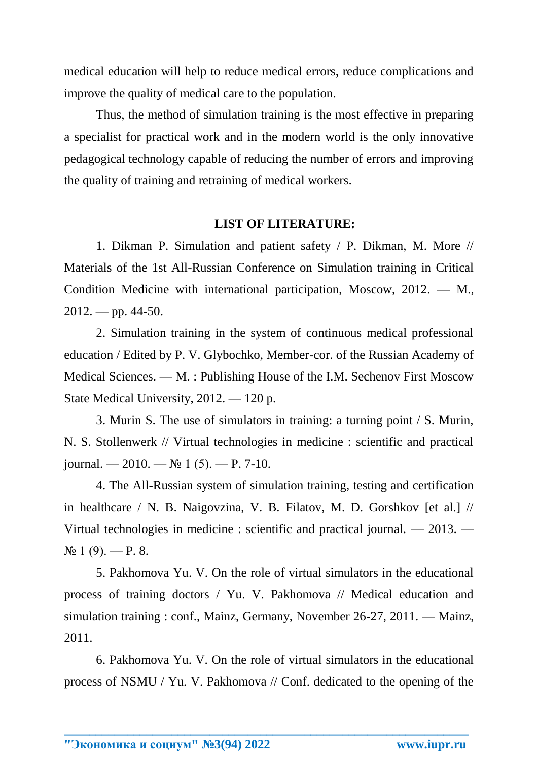medical education will help to reduce medical errors, reduce complications and improve the quality of medical care to the population.

Thus, the method of simulation training is the most effective in preparing a specialist for practical work and in the modern world is the only innovative pedagogical technology capable of reducing the number of errors and improving the quality of training and retraining of medical workers.

## **LIST OF LITERATURE:**

1. Dikman P. Simulation and patient safety / P. Dikman, M. More // Materials of the 1st All-Russian Conference on Simulation training in Critical Condition Medicine with international participation, Moscow, 2012. — M.,  $2012.$  — pp. 44-50.

2. Simulation training in the system of continuous medical professional education / Edited by P. V. Glybochko, Member-cor. of the Russian Academy of Medical Sciences. — M. : Publishing House of the I.M. Sechenov First Moscow State Medical University, 2012. — 120 p.

3. Murin S. The use of simulators in training: a turning point / S. Murin, N. S. Stollenwerk // Virtual technologies in medicine : scientific and practical journal. —  $2010.$  —  $\mathbb{N}$ <sup>o</sup> 1 (5). — P. 7-10.

4. The All-Russian system of simulation training, testing and certification in healthcare / N. B. Naigovzina, V. B. Filatov, M. D. Gorshkov [et al.] // Virtual technologies in medicine : scientific and practical journal. — 2013. —  $N_2$  1 (9). — P. 8.

5. Pakhomova Yu. V. On the role of virtual simulators in the educational process of training doctors / Yu. V. Pakhomova // Medical education and simulation training : conf., Mainz, Germany, November 26-27, 2011. — Mainz, 2011.

6. Pakhomova Yu. V. On the role of virtual simulators in the educational process of NSMU / Yu. V. Pakhomova // Conf. dedicated to the opening of the